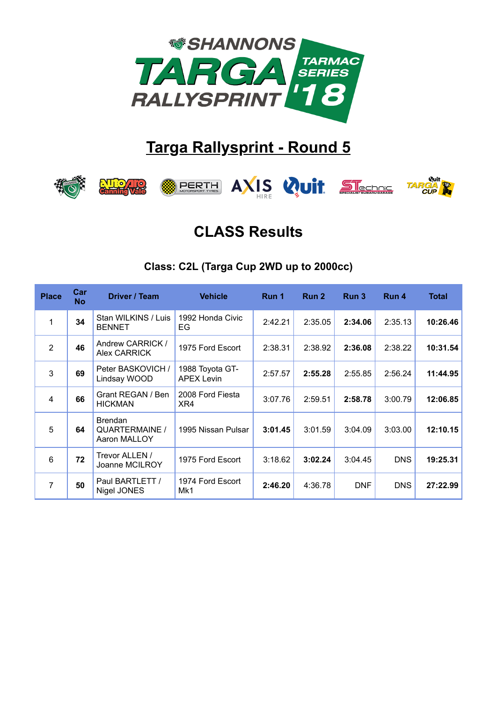

# **Targa Rallysprint - Round 5**



## CLASS Results

#### Class: C2L (Targa Cup 2WD up to 2000cc)

| <b>Place</b>   | Car<br><b>No</b> | Driver / Team                                    | <b>Vehicle</b>                       | Run 1   | Run 2   | Run 3      | Run 4      | <b>Total</b> |
|----------------|------------------|--------------------------------------------------|--------------------------------------|---------|---------|------------|------------|--------------|
| 1              | 34               | Stan WILKINS / Luis<br><b>BENNET</b>             | 1992 Honda Civic<br>EG               | 2:42.21 | 2:35.05 | 2:34.06    | 2:35.13    | 10:26.46     |
| $\overline{2}$ | 46               | Andrew CARRICK /<br>Alex CARRICK                 | 1975 Ford Escort                     | 2:38.31 | 2:38.92 | 2:36.08    | 2:38.22    | 10:31.54     |
| 3              | 69               | Peter BASKOVICH /<br>Lindsay WOOD                | 1988 Toyota GT-<br><b>APEX Levin</b> | 2:57.57 | 2:55.28 | 2:55.85    | 2:56.24    | 11:44.95     |
| 4              | 66               | Grant REGAN / Ben<br><b>HICKMAN</b>              | 2008 Ford Fiesta<br>XR4              | 3:07.76 | 2:59.51 | 2:58.78    | 3:00.79    | 12:06.85     |
| 5              | 64               | <b>Brendan</b><br>QUARTERMAINE /<br>Aaron MALLOY | 1995 Nissan Pulsar                   | 3:01.45 | 3:01.59 | 3:04.09    | 3:03.00    | 12:10.15     |
| 6              | 72               | Trevor ALLEN /<br>Joanne MCILROY                 | 1975 Ford Escort                     | 3:18.62 | 3:02.24 | 3:04.45    | <b>DNS</b> | 19:25.31     |
| $\overline{7}$ | 50               | Paul BARTLETT /<br>Nigel JONES                   | 1974 Ford Escort<br>Mk1              | 2:46.20 | 4:36.78 | <b>DNF</b> | <b>DNS</b> | 27:22.99     |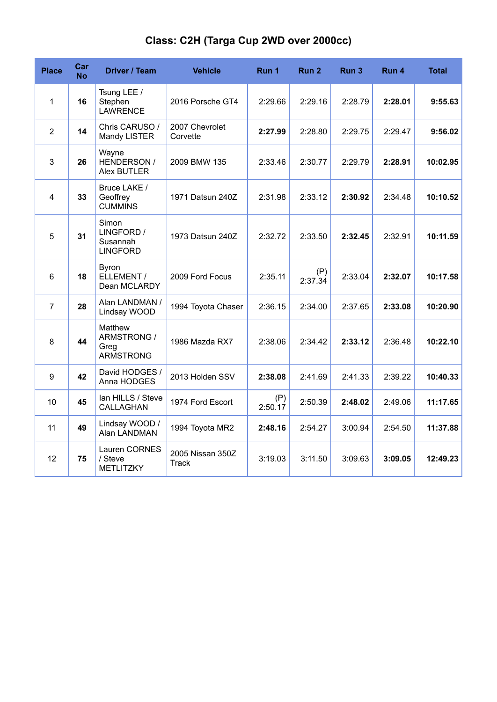| <b>Place</b>   | Car<br>No | Driver / Team                                      | <b>Vehicle</b>             | Run 1          | Run 2          | Run 3   | Run 4   | <b>Total</b> |
|----------------|-----------|----------------------------------------------------|----------------------------|----------------|----------------|---------|---------|--------------|
| $\mathbf{1}$   | 16        | Tsung LEE /<br>Stephen<br><b>LAWRENCE</b>          | 2016 Porsche GT4           | 2:29.66        | 2:29.16        | 2:28.79 | 2:28.01 | 9:55.63      |
| $\overline{2}$ | 14        | Chris CARUSO /<br>Mandy LISTER                     | 2007 Chevrolet<br>Corvette | 2:27.99        | 2:28.80        | 2:29.75 | 2:29.47 | 9:56.02      |
| 3              | 26        | Wayne<br>HENDERSON /<br><b>Alex BUTLER</b>         | 2009 BMW 135               | 2:33.46        | 2:30.77        | 2:29.79 | 2:28.91 | 10:02.95     |
| 4              | 33        | Bruce LAKE /<br>Geoffrey<br><b>CUMMINS</b>         | 1971 Datsun 240Z           | 2:31.98        | 2:33.12        | 2:30.92 | 2:34.48 | 10:10.52     |
| 5              | 31        | Simon<br>LINGFORD /<br>Susannah<br><b>LINGFORD</b> | 1973 Datsun 240Z           | 2:32.72        | 2:33.50        | 2:32.45 | 2:32.91 | 10:11.59     |
| $6\phantom{1}$ | 18        | <b>Byron</b><br>ELLEMENT /<br>Dean MCLARDY         | 2009 Ford Focus            | 2:35.11        | (P)<br>2:37.34 | 2:33.04 | 2:32.07 | 10:17.58     |
| 7              | 28        | Alan LANDMAN /<br>Lindsay WOOD                     | 1994 Toyota Chaser         | 2:36.15        | 2:34.00        | 2:37.65 | 2:33.08 | 10:20.90     |
| $\, 8$         | 44        | Matthew<br>ARMSTRONG /<br>Greg<br><b>ARMSTRONG</b> | 1986 Mazda RX7             | 2:38.06        | 2:34.42        | 2:33.12 | 2:36.48 | 10:22.10     |
| 9              | 42        | David HODGES /<br>Anna HODGES                      | 2013 Holden SSV            | 2:38.08        | 2:41.69        | 2:41.33 | 2:39.22 | 10:40.33     |
| 10             | 45        | lan HILLS / Steve<br>CALLAGHAN                     | 1974 Ford Escort           | (P)<br>2:50.17 | 2:50.39        | 2:48.02 | 2:49.06 | 11:17.65     |
| 11             | 49        | Lindsay WOOD /<br>Alan LANDMAN                     | 1994 Toyota MR2            | 2:48.16        | 2:54.27        | 3:00.94 | 2:54.50 | 11:37.88     |
| 12             | 75        | Lauren CORNES<br>/ Steve<br><b>METLITZKY</b>       | 2005 Nissan 350Z<br>Track  | 3:19.03        | 3:11.50        | 3:09.63 | 3:09.05 | 12:49.23     |

#### Class: C2H (Targa Cup 2WD over 2000cc)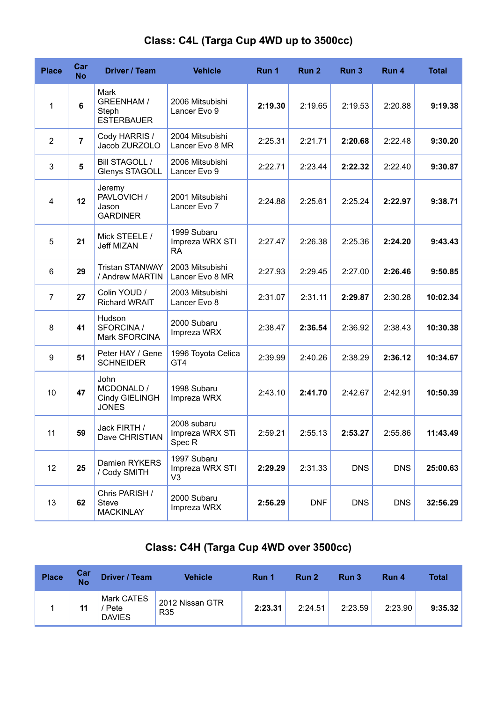| <b>Place</b>   | Car<br><b>No</b> | Driver / Team                                           | <b>Vehicle</b>                                      | Run 1   | Run 2      | Run <sub>3</sub> | Run 4      | <b>Total</b> |
|----------------|------------------|---------------------------------------------------------|-----------------------------------------------------|---------|------------|------------------|------------|--------------|
| $\mathbf{1}$   | 6                | Mark<br><b>GREENHAM /</b><br>Steph<br><b>ESTERBAUER</b> | 2006 Mitsubishi<br>Lancer Evo 9                     | 2:19.30 | 2:19.65    | 2:19.53          | 2:20.88    | 9:19.38      |
| $\overline{2}$ | $\overline{7}$   | Cody HARRIS /<br>Jacob ZURZOLO                          | 2004 Mitsubishi<br>Lancer Evo 8 MR                  | 2:25.31 | 2:21.71    | 2:20.68          | 2:22.48    | 9:30.20      |
| 3              | 5                | <b>Bill STAGOLL /</b><br>Glenys STAGOLL                 | 2006 Mitsubishi<br>Lancer Evo 9                     | 2:22.71 | 2:23.44    | 2:22.32          | 2:22.40    | 9:30.87      |
| 4              | 12               | Jeremy<br>PAVLOVICH /<br>Jason<br><b>GARDINER</b>       | 2001 Mitsubishi<br>Lancer Evo 7                     | 2:24.88 | 2:25.61    | 2:25.24          | 2:22.97    | 9:38.71      |
| 5              | 21               | Mick STEELE /<br><b>Jeff MIZAN</b>                      | 1999 Subaru<br>Impreza WRX STI<br><b>RA</b>         | 2:27.47 | 2:26.38    | 2:25.36          | 2:24.20    | 9:43.43      |
| 6              | 29               | <b>Tristan STANWAY</b><br>/ Andrew MARTIN               | 2003 Mitsubishi<br>Lancer Evo 8 MR                  | 2:27.93 | 2:29.45    | 2:27.00          | 2:26.46    | 9:50.85      |
| $\overline{7}$ | 27               | Colin YOUD /<br><b>Richard WRAIT</b>                    | 2003 Mitsubishi<br>Lancer Evo 8                     | 2:31.07 | 2:31.11    | 2:29.87          | 2:30.28    | 10:02.34     |
| 8              | 41               | Hudson<br>SFORCINA /<br>Mark SFORCINA                   | 2000 Subaru<br>Impreza WRX                          | 2:38.47 | 2:36.54    | 2:36.92          | 2:38.43    | 10:30.38     |
| 9              | 51               | Peter HAY / Gene<br><b>SCHNEIDER</b>                    | 1996 Toyota Celica<br>GT4                           | 2:39.99 | 2:40.26    | 2:38.29          | 2:36.12    | 10:34.67     |
| 10             | 47               | John<br>MCDONALD /<br>Cindy GIELINGH<br><b>JONES</b>    | 1998 Subaru<br>Impreza WRX                          | 2:43.10 | 2:41.70    | 2:42.67          | 2:42.91    | 10:50.39     |
| 11             | 59               | Jack FIRTH /<br>Dave CHRISTIAN                          | 2008 subaru<br>Impreza WRX STi<br>Spec <sub>R</sub> | 2:59.21 | 2:55.13    | 2:53.27          | 2:55.86    | 11:43.49     |
| 12             | 25               | Damien RYKERS<br>/ Cody SMITH                           | 1997 Subaru<br>Impreza WRX STI<br>V3                | 2:29.29 | 2:31.33    | <b>DNS</b>       | <b>DNS</b> | 25:00.63     |
| 13             | 62               | Chris PARISH /<br>Steve<br><b>MACKINLAY</b>             | 2000 Subaru<br>Impreza WRX                          | 2:56.29 | <b>DNF</b> | <b>DNS</b>       | <b>DNS</b> | 32:56.29     |

#### Class: C4L (Targa Cup 4WD up to 3500cc)

### Class: C4H (Targa Cup 4WD over 3500cc)

| <b>Place</b> | Car<br><b>No</b> | Driver / Team                       | <b>Vehicle</b>                     | Run 1   | Run 2   | Run 3   | Run 4   | <b>Total</b> |
|--------------|------------------|-------------------------------------|------------------------------------|---------|---------|---------|---------|--------------|
|              | 11               | Mark CATES<br>Pete<br><b>DAVIES</b> | 2012 Nissan GTR<br>R <sub>35</sub> | 2:23.31 | 2:24.51 | 2:23.59 | 2:23.90 | 9:35.32      |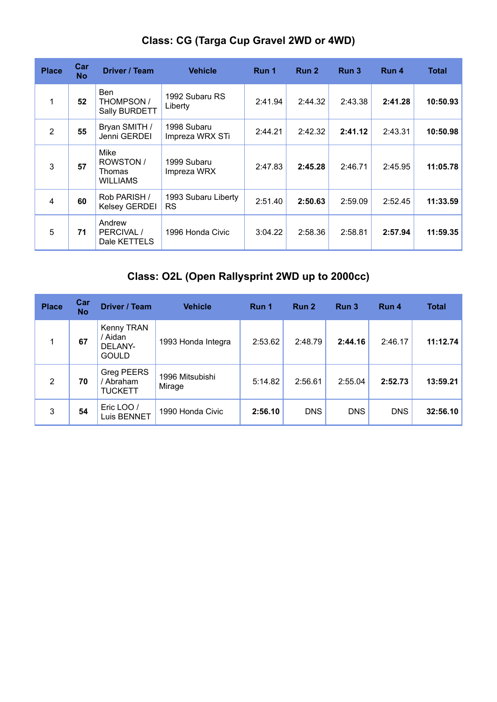| <b>Place</b>   | Car<br><b>No</b> | Driver / Team                                  | <b>Vehicle</b>                   | Run 1   | Run 2   | Run 3   | Run 4   | <b>Total</b> |
|----------------|------------------|------------------------------------------------|----------------------------------|---------|---------|---------|---------|--------------|
| 1              | 52               | <b>Ben</b><br>THOMPSON /<br>Sally BURDETT      | 1992 Subaru RS<br>Liberty        | 2:41.94 | 2:44.32 | 2:43.38 | 2:41.28 | 10:50.93     |
| $\overline{2}$ | 55               | Bryan SMITH /<br>Jenni GERDEI                  | 1998 Subaru<br>Impreza WRX STi   | 2:44.21 | 2:42.32 | 2:41.12 | 2:43.31 | 10:50.98     |
| 3              | 57               | Mike<br>ROWSTON /<br>Thomas<br><b>WILLIAMS</b> | 1999 Subaru<br>Impreza WRX       | 2:47.83 | 2:45.28 | 2:46.71 | 2:45.95 | 11:05.78     |
| $\overline{4}$ | 60               | Rob PARISH /<br><b>Kelsey GERDEI</b>           | 1993 Subaru Liberty<br><b>RS</b> | 2:51.40 | 2:50.63 | 2:59.09 | 2:52.45 | 11:33.59     |
| 5              | 71               | Andrew<br>PERCIVAL /<br>Dale KETTELS           | 1996 Honda Civic                 | 3:04.22 | 2:58.36 | 2:58.81 | 2:57.94 | 11:59.35     |

#### Class: CG (Targa Cup Gravel 2WD or 4WD)

### Class: O2L (Open Rallysprint 2WD up to 2000cc)

| <b>Place</b>   | Car<br><b>No</b> | Driver / Team                                    | <b>Vehicle</b>            | Run 1   | Run 2      | Run 3      | Run 4      | <b>Total</b> |
|----------------|------------------|--------------------------------------------------|---------------------------|---------|------------|------------|------------|--------------|
|                | 67               | Kenny TRAN<br>/ Aidan<br>DELANY-<br><b>GOULD</b> | 1993 Honda Integra        | 2:53.62 | 2:48.79    | 2:44.16    | 2:46.17    | 11:12.74     |
| $\overline{2}$ | 70               | Greg PEERS<br>/ Abraham<br><b>TUCKETT</b>        | 1996 Mitsubishi<br>Mirage | 5:14.82 | 2:56.61    | 2:55.04    | 2:52.73    | 13:59.21     |
| 3              | 54               | Eric LOO /<br>Luis BENNET                        | 1990 Honda Civic          | 2:56.10 | <b>DNS</b> | <b>DNS</b> | <b>DNS</b> | 32:56.10     |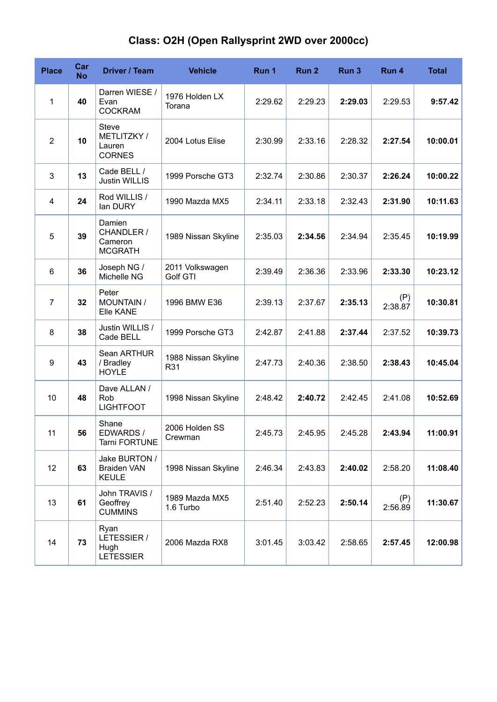#### Class: O2H (Open Rallysprint 2WD over 2000cc)

| <b>Place</b>   | Car<br><b>No</b> | Driver / Team                                          | <b>Vehicle</b>              | Run 1   | Run <sub>2</sub> | Run <sub>3</sub> | Run 4          | <b>Total</b> |
|----------------|------------------|--------------------------------------------------------|-----------------------------|---------|------------------|------------------|----------------|--------------|
| 1              | 40               | Darren WIESE /<br>Evan<br><b>COCKRAM</b>               | 1976 Holden LX<br>Torana    | 2:29.62 | 2:29.23          | 2:29.03          | 2:29.53        | 9:57.42      |
| $\overline{2}$ | 10               | <b>Steve</b><br>METLITZKY /<br>Lauren<br><b>CORNES</b> | 2004 Lotus Elise            | 2:30.99 | 2:33.16          | 2:28.32          | 2:27.54        | 10:00.01     |
| 3              | 13               | Cade BELL /<br><b>Justin WILLIS</b>                    | 1999 Porsche GT3            | 2:32.74 | 2:30.86          | 2:30.37          | 2:26.24        | 10:00.22     |
| 4              | 24               | Rod WILLIS /<br>lan DURY                               | 1990 Mazda MX5              | 2:34.11 | 2:33.18          | 2:32.43          | 2:31.90        | 10:11.63     |
| 5              | 39               | Damien<br>CHANDLER /<br>Cameron<br><b>MCGRATH</b>      | 1989 Nissan Skyline         | 2:35.03 | 2:34.56          | 2:34.94          | 2:35.45        | 10:19.99     |
| 6              | 36               | Joseph NG /<br>Michelle NG                             | 2011 Volkswagen<br>Golf GTI | 2:39.49 | 2:36.36          | 2:33.96          | 2:33.30        | 10:23.12     |
| 7              | 32               | Peter<br><b>MOUNTAIN /</b><br>Elle KANE                | 1996 BMW E36                | 2:39.13 | 2:37.67          | 2:35.13          | (P)<br>2:38.87 | 10:30.81     |
| 8              | 38               | Justin WILLIS /<br>Cade BELL                           | 1999 Porsche GT3            | 2:42.87 | 2:41.88          | 2:37.44          | 2:37.52        | 10:39.73     |
| 9              | 43               | Sean ARTHUR<br>/ Bradley<br><b>HOYLE</b>               | 1988 Nissan Skyline<br>R31  | 2:47.73 | 2:40.36          | 2:38.50          | 2:38.43        | 10:45.04     |
| 10             | 48               | Dave ALLAN /<br>Rob<br><b>LIGHTFOOT</b>                | 1998 Nissan Skyline         | 2:48.42 | 2:40.72          | 2:42.45          | 2:41.08        | 10:52.69     |
| 11             | 56               | Shane<br>EDWARDS /<br>Tarni FORTUNE                    | 2006 Holden SS<br>Crewman   | 2:45.73 | 2:45.95          | 2:45.28          | 2:43.94        | 11:00.91     |
| 12             | 63               | Jake BURTON /<br><b>Braiden VAN</b><br><b>KEULE</b>    | 1998 Nissan Skyline         | 2:46.34 | 2:43.83          | 2:40.02          | 2:58.20        | 11:08.40     |
| 13             | 61               | John TRAVIS /<br>Geoffrey<br><b>CUMMINS</b>            | 1989 Mazda MX5<br>1.6 Turbo | 2:51.40 | 2:52.23          | 2:50.14          | (P)<br>2:56.89 | 11:30.67     |
| 14             | 73               | Ryan<br>LETESSIER /<br>Hugh<br><b>LETESSIER</b>        | 2006 Mazda RX8              | 3:01.45 | 3:03.42          | 2:58.65          | 2:57.45        | 12:00.98     |